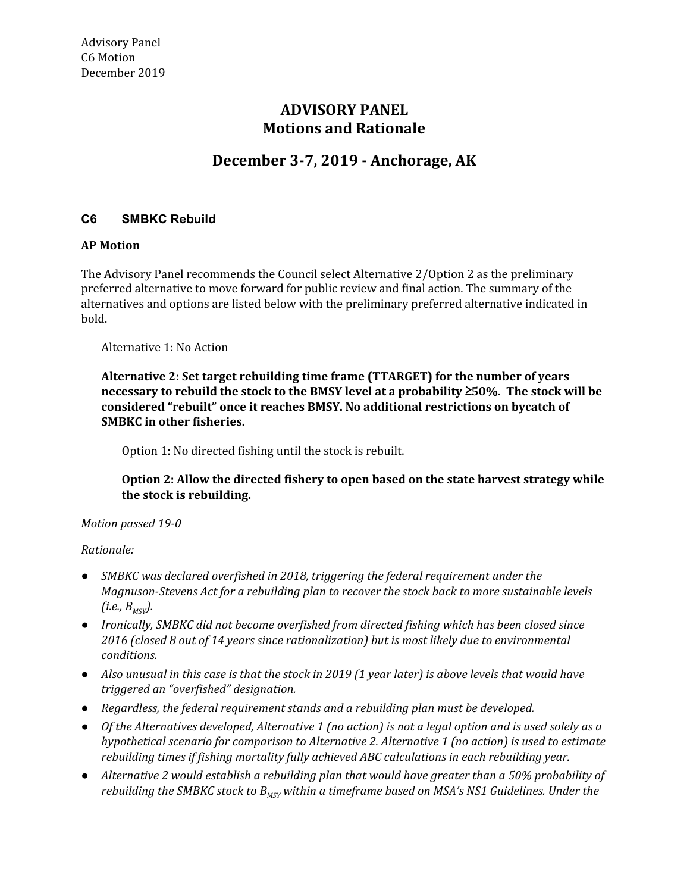# **Motions and Rationale ADVISORY PANEL**

## **December 3-7, 2019 - Anchorage, AK**

### **C6 SMBKC Rebuild**

#### **AP Motion**

 The Advisory Panel recommends the Council select Alternative 2/Option 2 as the preliminary preferred alternative to move forward for public review and final action. The summary of the alternatives and options are listed below with the preliminary preferred alternative indicated in bold.

Alternative 1: No Action

 **Alternative 2: Set target rebuilding time frame (TTARGET) for the number of years necessary to rebuild the stock to the BMSY level at a probability** ≥**50%. The stock will be considered "rebuilt" once it reaches BMSY. No additional restrictions on bycatch of SMBKC in other fisheries.**

Option 1: No directed fishing until the stock is rebuilt.

 **Option 2: Allow the directed fishery to open based on the state harvest strategy while the stock is rebuilding.**

#### *Motion passed 19-0*

#### *Rationale:*

- *● SMBKC was declared overfished in 2018, triggering the federal requirement under the Magnuson-Stevens Act for a rebuilding plan to recover the stock back to more sustainable levels*  $(i.e., B_{MSV})$ .
- *● Ironically, SMBKC did not become overfished from directed fishing which has been closed since 2016 (closed 8 out of 14 years since rationalization) but is most likely due to environmental conditions.*
- Also unusual in this case is that the stock in 2019 (1 year later) is above levels that would have  *triggered an "overfished" designation.*
- *● Regardless, the federal requirement stands and a rebuilding plan must be developed.*
- Of the Alternatives developed, Alternative 1 (no action) is not a legal option and is used solely as a  *hypothetical scenario for comparison to Alternative 2. Alternative 1 (no action) is used to estimate rebuilding times if fishing mortality fully achieved ABC calculations in each rebuilding year.*
- Alternative 2 would establish a rebuilding plan that would have greater than a 50% probability of  *rebuilding the SMBKC stock to BMSY within a timeframe based on MSA's NS1 Guidelines. Under the*